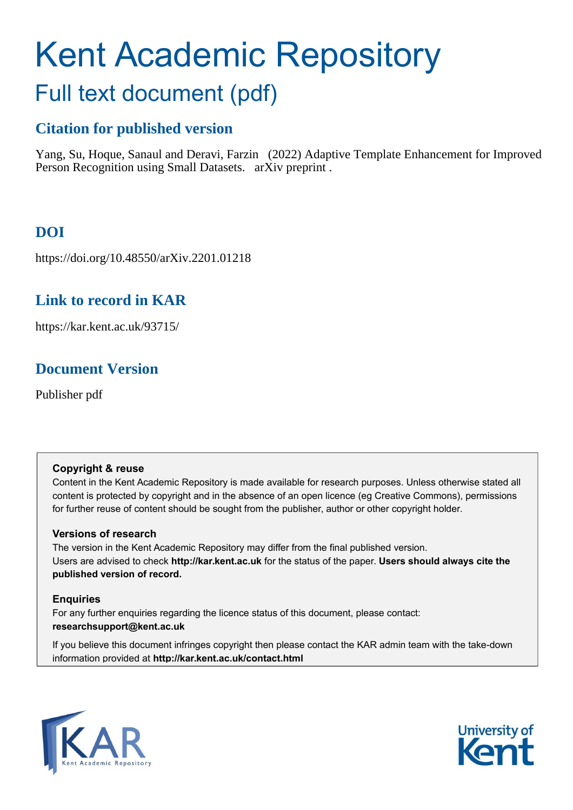# Kent Academic Repository Full text document (pdf)

# **Citation for published version**

Yang, Su, Hoque, Sanaul and Deravi, Farzin (2022) Adaptive Template Enhancement for Improved Person Recognition using Small Datasets. arXiv preprint .

## **DOI**

https://doi.org/10.48550/arXiv.2201.01218

### **Link to record in KAR**

https://kar.kent.ac.uk/93715/

### **Document Version**

Publisher pdf

#### **Copyright & reuse**

Content in the Kent Academic Repository is made available for research purposes. Unless otherwise stated all content is protected by copyright and in the absence of an open licence (eg Creative Commons), permissions for further reuse of content should be sought from the publisher, author or other copyright holder.

#### **Versions of research**

The version in the Kent Academic Repository may differ from the final published version. Users are advised to check **http://kar.kent.ac.uk** for the status of the paper. **Users should always cite the published version of record.**

#### **Enquiries**

For any further enquiries regarding the licence status of this document, please contact: **researchsupport@kent.ac.uk**

If you believe this document infringes copyright then please contact the KAR admin team with the take-down information provided at **http://kar.kent.ac.uk/contact.html**



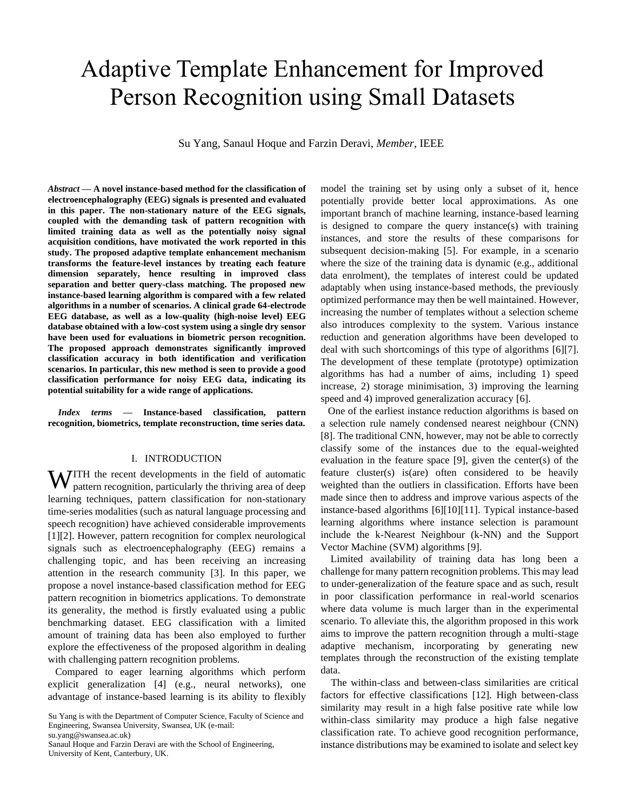# Adaptive Template Enhancement for Improved Person Recognition using Small Datasets

Su Yang, Sanaul Hoque and Farzin Deravi, *Member*, IEEE

*Abstract* **— A novel instance-based method for the classification of electroencephalography (EEG) signals is presented and evaluated in this paper. The non-stationary nature of the EEG signals, coupled with the demanding task of pattern recognition with limited training data as well as the potentially noisy signal acquisition conditions, have motivated the work reported in this study. The proposed adaptive template enhancement mechanism transforms the feature-level instances by treating each feature dimension separately, hence resulting in improved class separation and better query-class matching. The proposed new instance-based learning algorithm is compared with a few related algorithms in a number of scenarios. A clinical grade 64-electrode EEG database, as well as a low-quality (high-noise level) EEG database obtained with a low-cost system using a single dry sensor have been used for evaluations in biometric person recognition. The proposed approach demonstrates significantly improved classification accuracy in both identification and verification scenarios. In particular, this new method is seen to provide a good classification performance for noisy EEG data, indicating its potential suitability for a wide range of applications.**

*Index terms* **— Instance-based classification, pattern recognition, biometrics, template reconstruction, time series data.**

#### I. INTRODUCTION

**WITH** the recent developments in the field of automatic pattern recognition, particularly the thriving area of deep pattern recognition, particularly the thriving area of deep learning techniques, pattern classification for non-stationary time-series modalities (such as natural language processing and speech recognition) have achieved considerable improvements [1][2]. However, pattern recognition for complex neurological signals such as electroencephalography (EEG) remains a challenging topic, and has been receiving an increasing attention in the research community [3]. In this paper, we propose a novel instance-based classification method for EEG pattern recognition in biometrics applications. To demonstrate its generality, the method is firstly evaluated using a public benchmarking dataset. EEG classification with a limited amount of training data has been also employed to further explore the effectiveness of the proposed algorithm in dealing with challenging pattern recognition problems.

Compared to eager learning algorithms which perform explicit generalization [4] (e.g., neural networks), one advantage of instance-based learning is its ability to flexibly

su.yang@swansea.ac.uk)

model the training set by using only a subset of it, hence potentially provide better local approximations. As one important branch of machine learning, instance-based learning is designed to compare the query instance(s) with training instances, and store the results of these comparisons for subsequent decision-making [5]. For example, in a scenario where the size of the training data is dynamic (e.g., additional data enrolment), the templates of interest could be updated adaptably when using instance-based methods, the previously optimized performance may then be well maintained. However, increasing the number of templates without a selection scheme also introduces complexity to the system. Various instance reduction and generation algorithms have been developed to deal with such shortcomings of this type of algorithms [6][7]. The development of these template (prototype) optimization algorithms has had a number of aims, including 1) speed increase, 2) storage minimisation, 3) improving the learning speed and 4) improved generalization accuracy [6].

One of the earliest instance reduction algorithms is based on a selection rule namely condensed nearest neighbour (CNN) [8]. The traditional CNN, however, may not be able to correctly classify some of the instances due to the equal-weighted evaluation in the feature space [9], given the center(s) of the feature cluster(s) is(are) often considered to be heavily weighted than the outliers in classification. Efforts have been made since then to address and improve various aspects of the instance-based algorithms [6][10][11]. Typical instance-based learning algorithms where instance selection is paramount include the k-Nearest Neighbour (k-NN) and the Support Vector Machine (SVM) algorithms [9].

Limited availability of training data has long been a challenge for many pattern recognition problems. This may lead to under-generalization of the feature space and as such, result in poor classification performance in real-world scenarios where data volume is much larger than in the experimental scenario. To alleviate this, the algorithm proposed in this work aims to improve the pattern recognition through a multi-stage adaptive mechanism, incorporating by generating new templates through the reconstruction of the existing template data.

The within-class and between-class similarities are critical factors for effective classifications [12]. High between-class similarity may result in a high false positive rate while low within-class similarity may produce a high false negative classification rate. To achieve good recognition performance, instance distributions may be examined to isolate and select key

Su Yang is with the Department of Computer Science, Faculty of Science and Engineering, Swansea University, Swansea, UK (e-mail:

Sanaul Hoque and Farzin Deravi are with the School of Engineering, University of Kent, Canterbury, UK.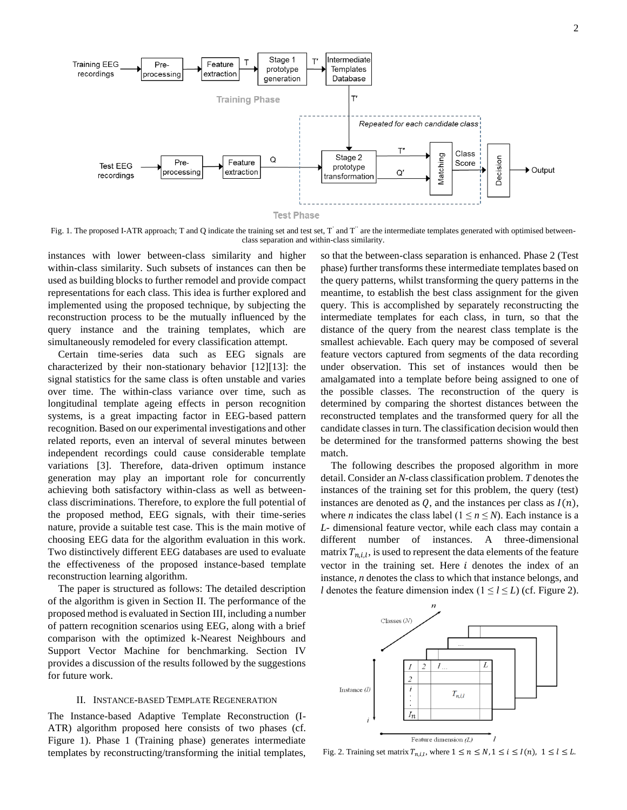

Fig. 1. The proposed I-ATR approach; T and Q indicate the training set and test set, T' and T" are the intermediate templates generated with optimised betweenclass separation and within-class similarity.

instances with lower between-class similarity and higher within-class similarity. Such subsets of instances can then be used as building blocks to further remodel and provide compact representations for each class. This idea is further explored and implemented using the proposed technique, by subjecting the reconstruction process to be the mutually influenced by the query instance and the training templates, which are simultaneously remodeled for every classification attempt.

Certain time-series data such as EEG signals are characterized by their non-stationary behavior [12][13]: the signal statistics for the same class is often unstable and varies over time. The within-class variance over time, such as longitudinal template ageing effects in person recognition systems, is a great impacting factor in EEG-based pattern recognition. Based on our experimental investigations and other related reports, even an interval of several minutes between independent recordings could cause considerable template variations [3]. Therefore, data-driven optimum instance generation may play an important role for concurrently achieving both satisfactory within-class as well as betweenclass discriminations. Therefore, to explore the full potential of the proposed method, EEG signals, with their time-series nature, provide a suitable test case. This is the main motive of choosing EEG data for the algorithm evaluation in this work. Two distinctively different EEG databases are used to evaluate the effectiveness of the proposed instance-based template reconstruction learning algorithm.

The paper is structured as follows: The detailed description of the algorithm is given in Section II. The performance of the proposed method is evaluated in Section III, including a number of pattern recognition scenarios using EEG, along with a brief comparison with the optimized k-Nearest Neighbours and Support Vector Machine for benchmarking. Section IV provides a discussion of the results followed by the suggestions for future work.

#### II. INSTANCE-BASED TEMPLATE REGENERATION

The Instance-based Adaptive Template Reconstruction (I-ATR) algorithm proposed here consists of two phases (cf. Figure 1). Phase 1 (Training phase) generates intermediate templates by reconstructing/transforming the initial templates,

so that the between-class separation is enhanced. Phase 2 (Test phase) further transforms these intermediate templates based on the query patterns, whilst transforming the query patterns in the meantime, to establish the best class assignment for the given query. This is accomplished by separately reconstructing the intermediate templates for each class, in turn, so that the distance of the query from the nearest class template is the smallest achievable. Each query may be composed of several feature vectors captured from segments of the data recording under observation. This set of instances would then be amalgamated into a template before being assigned to one of the possible classes. The reconstruction of the query is determined by comparing the shortest distances between the reconstructed templates and the transformed query for all the candidate classes in turn. The classification decision would then be determined for the transformed patterns showing the best match.

The following describes the proposed algorithm in more detail. Consider an *N*-class classification problem. *T* denotes the instances of the training set for this problem, the query (test) instances are denoted as  $Q$ , and the instances per class as  $I(n)$ , where *n* indicates the class label ( $1 \le n \le N$ ). Each instance is a *L*- dimensional feature vector, while each class may contain a different number of instances. A three-dimensional matrix  $T_{n,i,l}$ , is used to represent the data elements of the feature vector in the training set. Here  $i$  denotes the index of an instance, *n* denotes the class to which that instance belongs, and *l* denotes the feature dimension index ( $1 \le l \le L$ ) (cf. Figure 2).



Fig. 2. Training set matrix  $T_{n,i,l}$ , where  $1 \le n \le N, 1 \le i \le l(n)$ ,  $1 \le l \le L$ .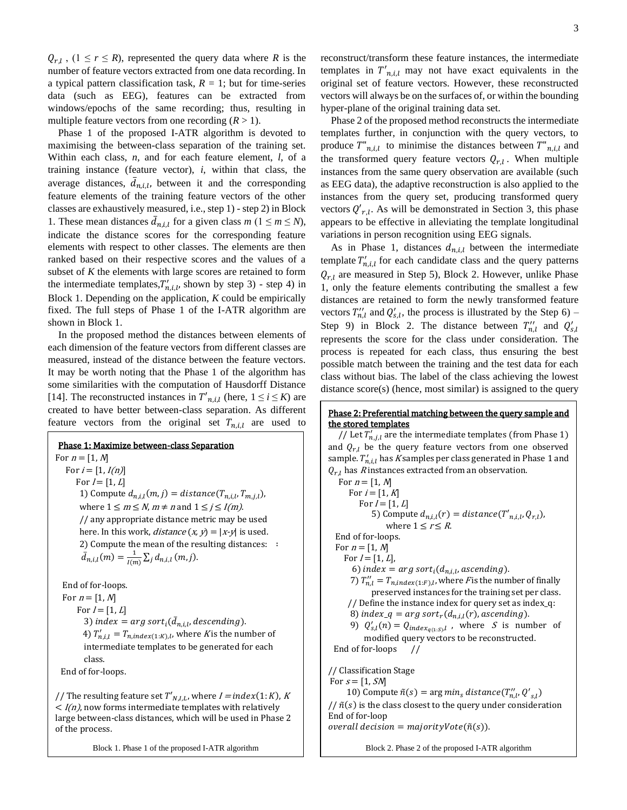$Q_{r,l}$ ,  $(1 \leq r \leq R)$ , represented the query data where *R* is the number of feature vectors extracted from one data recording. In a typical pattern classification task,  $R = 1$ ; but for time-series data (such as EEG), features can be extracted from windows/epochs of the same recording; thus, resulting in multiple feature vectors from one recording  $(R > 1)$ .

Phase 1 of the proposed I-ATR algorithm is devoted to maximising the between-class separation of the training set. Within each class, *n*, and for each feature element, *l*, of a training instance (feature vector), *i*, within that class, the average distances,  $\bar{d}_{n,i,l}$ , between it and the corresponding feature elements of the training feature vectors of the other classes are exhaustively measured, i.e., step 1) - step 2) in Block 1. These mean distances  $\bar{d}_{n,i,l}$  for a given class  $m$  ( $1 \le m \le N$ ), indicate the distance scores for the corresponding feature elements with respect to other classes. The elements are then ranked based on their respective scores and the values of a subset of *K* the elements with large scores are retained to form the intermediate templates,  $T'_{n,i,l}$ , shown by step 3) - step 4) in Block 1. Depending on the application, *K* could be empirically fixed. The full steps of Phase 1 of the I-ATR algorithm are shown in Block 1.

In the proposed method the distances between elements of each dimension of the feature vectors from different classes are measured, instead of the distance between the feature vectors. It may be worth noting that the Phase 1 of the algorithm has some similarities with the computation of Hausdorff Distance [14]. The reconstructed instances in  $T'_{n,i,l}$  (here,  $1 \le i \le K$ ) are created to have better between-class separation. As different feature vectors from the original set  $T_{n,i,l}$  are used to

 Phase 1: Maximize between-class Separation For  $n = [1, N]$ For  $i = [1, I(n)]$ For  $I = [1, L]$ 1) Compute  $d_{n,i,l}(m,j) = distance(T_{n,i,l}, T_{m,j,l})$ , where  $1 \le m \le N$ ,  $m \ne n$  and  $1 \le j \le I(m)$ . // any appropriate distance metric may be used here. In this work, *distance*  $(x, y) = |x-y|$  is used. 2) Compute the mean of the resulting distances: ∶  $\bar{d}_{n,i,l}(m) = \frac{1}{l(n)}$  $\frac{1}{I(m)}\sum_{j}d_{n,i,l}(m,j).$ End of for-loops. For  $n = [1, N]$ For  $l = [1, L]$ 3) index =  $arg sort_i(\bar{d}_{n,i,l}, descending)$ . 4)  $T'_{n,i,l} = T_{n,index(1:K),l}$ , where K is the number of intermediate templates to be generated for each class. End of for-loops.

// The resulting feature set  $T'_{N,I,L}$ , where  $I = index(1:K)$ , K  $\langle I(n) \rangle$ , now forms intermediate templates with relatively large between-class distances, which will be used in Phase 2 of the process.

Block 1. Phase 1 of the proposed I-ATR algorithm

reconstruct/transform these feature instances, the intermediate templates in  $T'_{n,i,l}$  may not have exact equivalents in the

hyper-plane of the original training data set. Phase 2 of the proposed method reconstructs the intermediate templates further, in conjunction with the query vectors, to produce  $T^{n}_{n,i,l}$  to minimise the distances between  $T^{n}_{n,i,l}$  and the transformed query feature vectors  $Q_{r,l}$ . When multiple instances from the same query observation are available (such as EEG data), the adaptive reconstruction is also applied to the instances from the query set, producing transformed query vectors  $Q'_{r,l}$ . As will be demonstrated in Section 3, this phase appears to be effective in alleviating the template longitudinal variations in person recognition using EEG signals.

original set of feature vectors. However, these reconstructed vectors will always be on the surfaces of, or within the bounding

As in Phase 1, distances  $d_{n,i,l}$  between the intermediate template  $T'_{n,i,l}$  for each candidate class and the query patterns  $Q_{r,l}$  are measured in Step 5), Block 2. However, unlike Phase 1, only the feature elements contributing the smallest a few distances are retained to form the newly transformed feature vectors  $T''_{n,l}$  and  $Q'_{s,l}$ , the process is illustrated by the Step 6) – Step 9) in Block 2. The distance between  $T''_{n,l}$  and  $Q'_{s,l}$ represents the score for the class under consideration. The process is repeated for each class, thus ensuring the best possible match between the training and the test data for each class without bias. The label of the class achieving the lowest distance score(s) (hence, most similar) is assigned to the query

#### Phase 2: Preferential matching between the query sample and the stored templates

// Let  $T'_{n,j,l}$  are the intermediate templates (from Phase 1) and  $Q_{r,l}$  be the query feature vectors from one observed sample.  $T'_{n,i,l}$  has  $K$ samples per class generated in Phase 1 and  $Q_{r,l}$  has *R* instances extracted from an observation. For  $n = [1, N]$ For  $i = [1, K]$ For  $I = [1, L]$ 5) Compute  $d_{n,i,l}(r) = distance(T'_{n,i,l}, Q_{r,l}),$ where  $1 \leq r \leq R$ . End of for-loops. For  $n = [1, N]$ For  $I = [1, L]$ , 6) index =  $arg sort<sub>i</sub>(d<sub>n,i,l</sub>,*ascending*).$ 7)  $T''_{n,l} = T_{n,index(1:F),l}$ , where *F* is the number of finally preserved instances for the training set per class. // Define the instance index for query set as index\_q: 8) index\_q =  $arg sort_r(d_{n,i,l}(r))$ , ascending). 9)  $Q'_{s,l}(n) = Q_{index_{q(1:S)},l}$ , where S is number of modified query vectors to be reconstructed. End of for-loops // // Classification Stage For  $s = [1, SM]$ 10) Compute  $\tilde{n}(s) = \arg min_s distance(T''_{n,l}, Q'_{s,l})$  $1/\tilde{n}(s)$  is the class closest to the query under consideration End of for-loop overall decision = majorityVote( $\tilde{n}(s)$ ).

Block 2. Phase 2 of the proposed I-ATR algorithm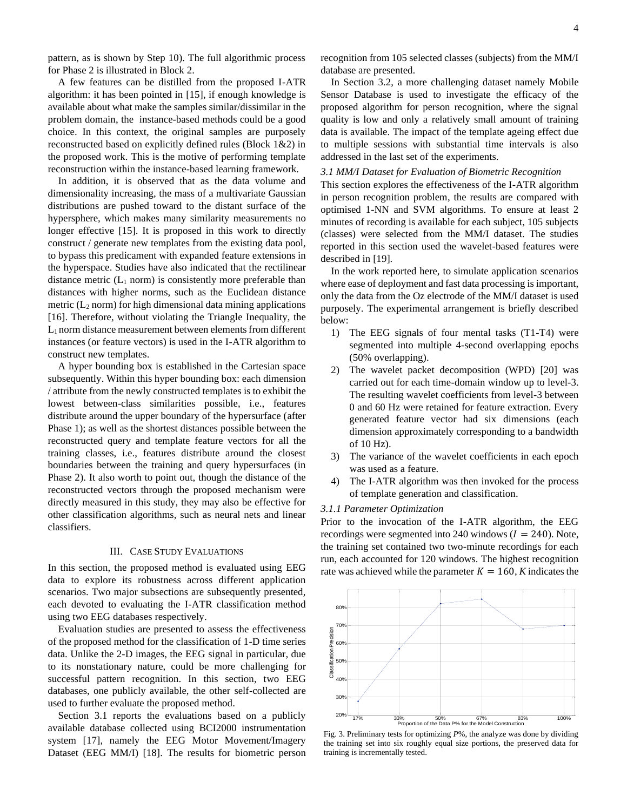pattern, as is shown by Step 10). The full algorithmic process for Phase 2 is illustrated in Block 2.

A few features can be distilled from the proposed I-ATR algorithm: it has been pointed in [15], if enough knowledge is available about what make the samples similar/dissimilar in the problem domain, the instance-based methods could be a good choice. In this context, the original samples are purposely reconstructed based on explicitly defined rules (Block 1&2) in the proposed work. This is the motive of performing template reconstruction within the instance-based learning framework.

In addition, it is observed that as the data volume and dimensionality increasing, the mass of a multivariate Gaussian distributions are pushed toward to the distant surface of the hypersphere, which makes many similarity measurements no longer effective [15]. It is proposed in this work to directly construct / generate new templates from the existing data pool, to bypass this predicament with expanded feature extensions in the hyperspace. Studies have also indicated that the rectilinear distance metric  $(L_1 \text{ norm})$  is consistently more preferable than distances with higher norms, such as the Euclidean distance metric  $(L_2$  norm) for high dimensional data mining applications [16]. Therefore, without violating the Triangle Inequality, the  $L_1$  norm distance measurement between elements from different instances (or feature vectors) is used in the I-ATR algorithm to construct new templates.

A hyper bounding box is established in the Cartesian space subsequently. Within this hyper bounding box: each dimension / attribute from the newly constructed templates is to exhibit the lowest between-class similarities possible, i.e., features distribute around the upper boundary of the hypersurface (after Phase 1); as well as the shortest distances possible between the reconstructed query and template feature vectors for all the training classes, i.e., features distribute around the closest boundaries between the training and query hypersurfaces (in Phase 2). It also worth to point out, though the distance of the reconstructed vectors through the proposed mechanism were directly measured in this study, they may also be effective for other classification algorithms, such as neural nets and linear classifiers.

#### III. CASE STUDY EVALUATIONS

In this section, the proposed method is evaluated using EEG data to explore its robustness across different application scenarios. Two major subsections are subsequently presented, each devoted to evaluating the I-ATR classification method using two EEG databases respectively.

Evaluation studies are presented to assess the effectiveness of the proposed method for the classification of 1-D time series data. Unlike the 2-D images, the EEG signal in particular, due to its nonstationary nature, could be more challenging for successful pattern recognition. In this section, two EEG databases, one publicly available, the other self-collected are used to further evaluate the proposed method.

Section 3.1 reports the evaluations based on a publicly available database collected using BCI2000 instrumentation system [17], namely the EEG Motor Movement/Imagery Dataset (EEG MM/I) [18]. The results for biometric person recognition from 105 selected classes (subjects) from the MM/I database are presented.

In Section 3.2, a more challenging dataset namely Mobile Sensor Database is used to investigate the efficacy of the proposed algorithm for person recognition, where the signal quality is low and only a relatively small amount of training data is available. The impact of the template ageing effect due to multiple sessions with substantial time intervals is also addressed in the last set of the experiments.

#### *3.1 MM/I Dataset for Evaluation of Biometric Recognition*

This section explores the effectiveness of the I-ATR algorithm in person recognition problem, the results are compared with optimised 1-NN and SVM algorithms. To ensure at least 2 minutes of recording is available for each subject, 105 subjects (classes) were selected from the MM/I dataset. The studies reported in this section used the wavelet-based features were described in [19].

In the work reported here, to simulate application scenarios where ease of deployment and fast data processing is important, only the data from the Oz electrode of the MM/I dataset is used purposely. The experimental arrangement is briefly described below:

- 1) The EEG signals of four mental tasks (T1-T4) were segmented into multiple 4-second overlapping epochs (50% overlapping).
- 2) The wavelet packet decomposition (WPD) [20] was carried out for each time-domain window up to level-3. The resulting wavelet coefficients from level-3 between 0 and 60 Hz were retained for feature extraction. Every generated feature vector had six dimensions (each dimension approximately corresponding to a bandwidth of 10 Hz).
- 3) The variance of the wavelet coefficients in each epoch was used as a feature.
- 4) The I-ATR algorithm was then invoked for the process of template generation and classification.

#### *3.1.1 Parameter Optimization*

Prior to the invocation of the I-ATR algorithm, the EEG recordings were segmented into 240 windows ( $I = 240$ ). Note, the training set contained two two-minute recordings for each run, each accounted for 120 windows. The highest recognition rate was achieved while the parameter  $K = 160$ , K indicates the



Fig. 3. Preliminary tests for optimizing *P*%, the analyze was done by dividing the training set into six roughly equal size portions, the preserved data for training is incrementally tested.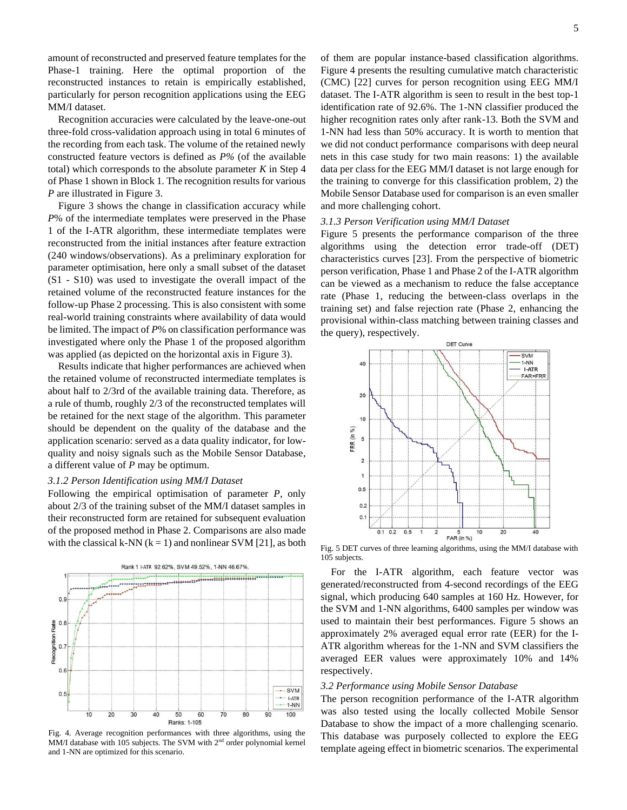amount of reconstructed and preserved feature templates for the Phase-1 training. Here the optimal proportion of the reconstructed instances to retain is empirically established, particularly for person recognition applications using the EEG MM/I dataset.

Recognition accuracies were calculated by the leave-one-out three-fold cross-validation approach using in total 6 minutes of the recording from each task. The volume of the retained newly constructed feature vectors is defined as *P%* (of the available total) which corresponds to the absolute parameter *K* in Step 4 of Phase 1 shown in Block 1. The recognition results for various *P* are illustrated in Figure 3.

Figure 3 shows the change in classification accuracy while *P*% of the intermediate templates were preserved in the Phase 1 of the I-ATR algorithm, these intermediate templates were reconstructed from the initial instances after feature extraction (240 windows/observations). As a preliminary exploration for parameter optimisation, here only a small subset of the dataset (S1 - S10) was used to investigate the overall impact of the retained volume of the reconstructed feature instances for the follow-up Phase 2 processing. This is also consistent with some real-world training constraints where availability of data would be limited. The impact of *P*% on classification performance was investigated where only the Phase 1 of the proposed algorithm was applied (as depicted on the horizontal axis in Figure 3).

Results indicate that higher performances are achieved when the retained volume of reconstructed intermediate templates is about half to 2/3rd of the available training data. Therefore, as a rule of thumb, roughly 2/3 of the reconstructed templates will be retained for the next stage of the algorithm. This parameter should be dependent on the quality of the database and the application scenario: served as a data quality indicator, for lowquality and noisy signals such as the Mobile Sensor Database, a different value of *P* may be optimum.

#### *3.1.2 Person Identification using MM/I Dataset*

Following the empirical optimisation of parameter *P*, only about 2/3 of the training subset of the MM/I dataset samples in their reconstructed form are retained for subsequent evaluation of the proposed method in Phase 2. Comparisons are also made with the classical k-NN  $(k = 1)$  and nonlinear SVM [21], as both



Fig. 4. Average recognition performances with three algorithms, using the MM/I database with 105 subjects. The SVM with 2<sup>nd</sup> order polynomial kernel and 1-NN are optimized for this scenario.

of them are popular instance-based classification algorithms. Figure 4 presents the resulting cumulative match characteristic (CMC) [22] curves for person recognition using EEG MM/I dataset. The I-ATR algorithm is seen to result in the best top-1 identification rate of 92.6%. The 1-NN classifier produced the higher recognition rates only after rank-13. Both the SVM and 1-NN had less than 50% accuracy. It is worth to mention that we did not conduct performance comparisons with deep neural nets in this case study for two main reasons: 1) the available data per class for the EEG MM/I dataset is not large enough for the training to converge for this classification problem, 2) the Mobile Sensor Database used for comparison is an even smaller and more challenging cohort.

#### *3.1.3 Person Verification using MM/I Dataset*

Figure 5 presents the performance comparison of the three algorithms using the detection error trade-off (DET) characteristics curves [23]. From the perspective of biometric person verification, Phase 1 and Phase 2 of the I-ATR algorithm can be viewed as a mechanism to reduce the false acceptance rate (Phase 1, reducing the between-class overlaps in the training set) and false rejection rate (Phase 2, enhancing the provisional within-class matching between training classes and the query), respectively.



Fig. 5 DET curves of three learning algorithms, using the MM/I database with 105 subjects.

For the I-ATR algorithm, each feature vector was generated/reconstructed from 4-second recordings of the EEG signal, which producing 640 samples at 160 Hz. However, for the SVM and 1-NN algorithms, 6400 samples per window was used to maintain their best performances. Figure 5 shows an approximately 2% averaged equal error rate (EER) for the I-ATR algorithm whereas for the 1-NN and SVM classifiers the averaged EER values were approximately 10% and 14% respectively.

#### *3.2 Performance using Mobile Sensor Database*

The person recognition performance of the I-ATR algorithm was also tested using the locally collected Mobile Sensor Database to show the impact of a more challenging scenario. This database was purposely collected to explore the EEG template ageing effect in biometric scenarios. The experimental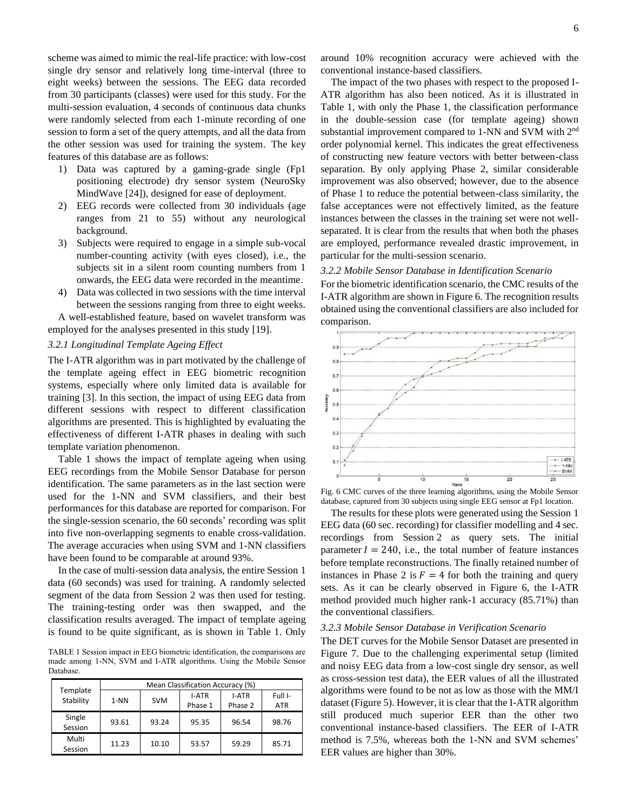scheme was aimed to mimic the real-life practice: with low-cost single dry sensor and relatively long time-interval (three to eight weeks) between the sessions. The EEG data recorded from 30 participants (classes) were used for this study. For the multi-session evaluation, 4 seconds of continuous data chunks were randomly selected from each 1-minute recording of one session to form a set of the query attempts, and all the data from the other session was used for training the system. The key features of this database are as follows:

- 1) Data was captured by a gaming-grade single (Fp1 positioning electrode) dry sensor system (NeuroSky MindWave [24]), designed for ease of deployment.
- 2) EEG records were collected from 30 individuals (age ranges from 21 to 55) without any neurological background.
- 3) Subjects were required to engage in a simple sub-vocal number-counting activity (with eyes closed), i.e., the subjects sit in a silent room counting numbers from 1 onwards, the EEG data were recorded in the meantime.
- 4) Data was collected in two sessions with the time interval between the sessions ranging from three to eight weeks.

A well-established feature, based on wavelet transform was employed for the analyses presented in this study [19].

#### *3.2.1 Longitudinal Template Ageing Effect*

The I-ATR algorithm was in part motivated by the challenge of the template ageing effect in EEG biometric recognition systems, especially where only limited data is available for training [3]. In this section, the impact of using EEG data from different sessions with respect to different classification algorithms are presented. This is highlighted by evaluating the effectiveness of different I-ATR phases in dealing with such template variation phenomenon.

Table 1 shows the impact of template ageing when using EEG recordings from the Mobile Sensor Database for person identification. The same parameters as in the last section were used for the 1-NN and SVM classifiers, and their best performances for this database are reported for comparison. For the single-session scenario, the 60 seconds' recording was split into five non-overlapping segments to enable cross-validation. The average accuracies when using SVM and 1-NN classifiers have been found to be comparable at around 93%.

In the case of multi-session data analysis, the entire Session 1 data (60 seconds) was used for training. A randomly selected segment of the data from Session 2 was then used for testing. The training-testing order was then swapped, and the classification results averaged. The impact of template ageing is found to be quite significant, as is shown in Table 1. Only

TABLE 1 Session impact in EEG biometric identification, the comparisons are made among 1-NN, SVM and I-ATR algorithms. Using the Mobile Sensor Database.

| Template<br>Stability | Mean Classification Accuracy (%) |            |                         |                         |                       |
|-----------------------|----------------------------------|------------|-------------------------|-------------------------|-----------------------|
|                       | $1-NN$                           | <b>SVM</b> | <b>I-ATR</b><br>Phase 1 | <b>I-ATR</b><br>Phase 2 | Full I-<br><b>ATR</b> |
| Single<br>Session     | 93.61                            | 93.24      | 95.35                   | 96.54                   | 98.76                 |
| Multi<br>Session      | 11.23                            | 10.10      | 53.57                   | 59.29                   | 85.71                 |

around 10% recognition accuracy were achieved with the conventional instance-based classifiers.

The impact of the two phases with respect to the proposed I-ATR algorithm has also been noticed. As it is illustrated in Table 1, with only the Phase 1, the classification performance in the double-session case (for template ageing) shown substantial improvement compared to 1-NN and SVM with 2<sup>nd</sup> order polynomial kernel. This indicates the great effectiveness of constructing new feature vectors with better between-class separation. By only applying Phase 2, similar considerable improvement was also observed; however, due to the absence of Phase 1 to reduce the potential between-class similarity, the false acceptances were not effectively limited, as the feature instances between the classes in the training set were not wellseparated. It is clear from the results that when both the phases are employed, performance revealed drastic improvement, in particular for the multi-session scenario.

#### *3.2.2 Mobile Sensor Database in Identification Scenario*

For the biometric identification scenario, the CMC results of the I-ATR algorithm are shown in Figure 6. The recognition results obtained using the conventional classifiers are also included for comparison.



Fig. 6 CMC curves of the three learning algorithms, using the Mobile Sensor database, captured from 30 subjects using single EEG sensor at Fp1 location.

The results for these plots were generated using the Session 1 EEG data (60 sec. recording) for classifier modelling and 4 sec. recordings from Session 2 as query sets. The initial parameter  $I = 240$ , i.e., the total number of feature instances before template reconstructions. The finally retained number of instances in Phase 2 is  $F = 4$  for both the training and query sets. As it can be clearly observed in Figure 6, the I-ATR method provided much higher rank-1 accuracy (85.71%) than the conventional classifiers.

#### *3.2.3 Mobile Sensor Database in Verification Scenario*

The DET curves for the Mobile Sensor Dataset are presented in Figure 7. Due to the challenging experimental setup (limited and noisy EEG data from a low-cost single dry sensor, as well as cross-session test data), the EER values of all the illustrated algorithms were found to be not as low as those with the MM/I dataset (Figure 5). However, it is clear that the I-ATR algorithm still produced much superior EER than the other two conventional instance-based classifiers. The EER of I-ATR method is 7.5%, whereas both the 1-NN and SVM schemes' EER values are higher than 30%.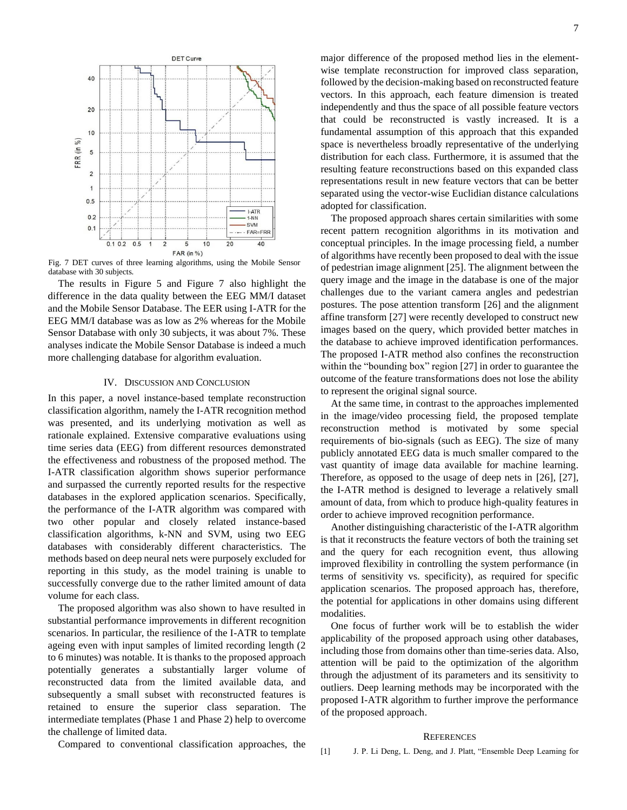

Fig. 7 DET curves of three learning algorithms, using the Mobile Sensor database with 30 subjects.

The results in Figure 5 and Figure 7 also highlight the difference in the data quality between the EEG MM/I dataset and the Mobile Sensor Database. The EER using I-ATR for the EEG MM/I database was as low as 2% whereas for the Mobile Sensor Database with only 30 subjects, it was about 7%. These analyses indicate the Mobile Sensor Database is indeed a much more challenging database for algorithm evaluation.

#### IV. DISCUSSION AND CONCLUSION

In this paper, a novel instance-based template reconstruction classification algorithm, namely the I-ATR recognition method was presented, and its underlying motivation as well as rationale explained. Extensive comparative evaluations using time series data (EEG) from different resources demonstrated the effectiveness and robustness of the proposed method. The I-ATR classification algorithm shows superior performance and surpassed the currently reported results for the respective databases in the explored application scenarios. Specifically, the performance of the I-ATR algorithm was compared with two other popular and closely related instance-based classification algorithms, k-NN and SVM, using two EEG databases with considerably different characteristics. The methods based on deep neural nets were purposely excluded for reporting in this study, as the model training is unable to successfully converge due to the rather limited amount of data volume for each class.

The proposed algorithm was also shown to have resulted in substantial performance improvements in different recognition scenarios. In particular, the resilience of the I-ATR to template ageing even with input samples of limited recording length (2 to 6 minutes) was notable. It is thanks to the proposed approach potentially generates a substantially larger volume of reconstructed data from the limited available data, and subsequently a small subset with reconstructed features is retained to ensure the superior class separation. The intermediate templates (Phase 1 and Phase 2) help to overcome the challenge of limited data.

Compared to conventional classification approaches, the

major difference of the proposed method lies in the elementwise template reconstruction for improved class separation, followed by the decision-making based on reconstructed feature vectors. In this approach, each feature dimension is treated independently and thus the space of all possible feature vectors that could be reconstructed is vastly increased. It is a fundamental assumption of this approach that this expanded space is nevertheless broadly representative of the underlying distribution for each class. Furthermore, it is assumed that the resulting feature reconstructions based on this expanded class representations result in new feature vectors that can be better separated using the vector-wise Euclidian distance calculations adopted for classification.

The proposed approach shares certain similarities with some recent pattern recognition algorithms in its motivation and conceptual principles. In the image processing field, a number of algorithms have recently been proposed to deal with the issue of pedestrian image alignment [25]. The alignment between the query image and the image in the database is one of the major challenges due to the variant camera angles and pedestrian postures. The pose attention transform [26] and the alignment affine transform [27] were recently developed to construct new images based on the query, which provided better matches in the database to achieve improved identification performances. The proposed I-ATR method also confines the reconstruction within the "bounding box" region [27] in order to guarantee the outcome of the feature transformations does not lose the ability to represent the original signal source.

At the same time, in contrast to the approaches implemented in the image/video processing field, the proposed template reconstruction method is motivated by some special requirements of bio-signals (such as EEG). The size of many publicly annotated EEG data is much smaller compared to the vast quantity of image data available for machine learning. Therefore, as opposed to the usage of deep nets in [26], [27], the I-ATR method is designed to leverage a relatively small amount of data, from which to produce high-quality features in order to achieve improved recognition performance.

Another distinguishing characteristic of the I-ATR algorithm is that it reconstructs the feature vectors of both the training set and the query for each recognition event, thus allowing improved flexibility in controlling the system performance (in terms of sensitivity vs. specificity), as required for specific application scenarios. The proposed approach has, therefore, the potential for applications in other domains using different modalities.

One focus of further work will be to establish the wider applicability of the proposed approach using other databases, including those from domains other than time-series data. Also, attention will be paid to the optimization of the algorithm through the adjustment of its parameters and its sensitivity to outliers. Deep learning methods may be incorporated with the proposed I-ATR algorithm to further improve the performance of the proposed approach.

#### **REFERENCES**